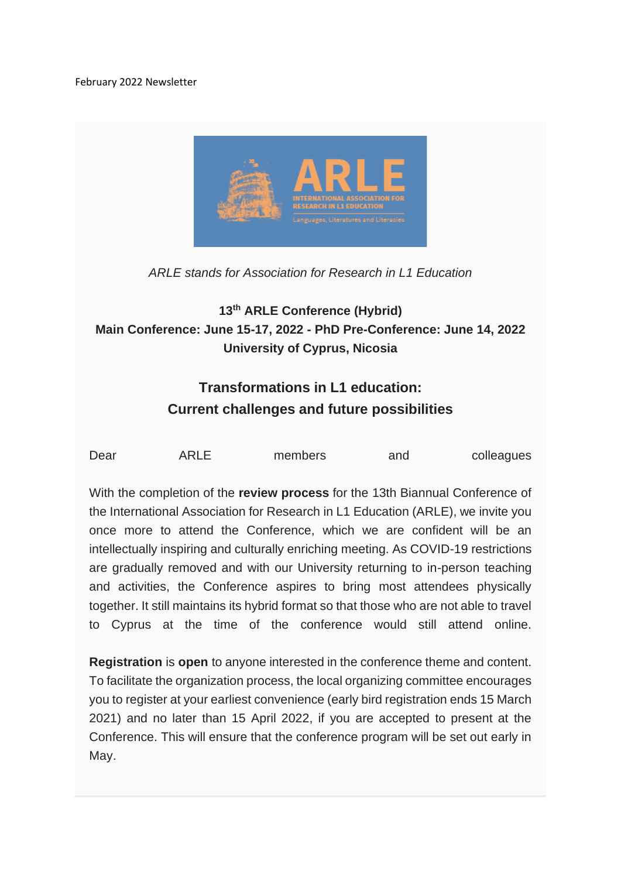#### February 2022 Newsletter



#### *ARLE stands for Association for Research in L1 Education*

# **13th ARLE Conference (Hybrid) Main Conference: June 15-17, 2022 - PhD Pre-Conference: June 14, 2022 University of Cyprus, Nicosia**

# **Transformations in L1 education: Current challenges and future possibilities**

| Dear | ARLE | members | and | colleagues |
|------|------|---------|-----|------------|
|      |      |         |     |            |

With the completion of the **review process** for the 13th Biannual Conference of the International Association for Research in L1 Education (ARLE), we invite you once more to attend the Conference, which we are confident will be an intellectually inspiring and culturally enriching meeting. As COVID-19 restrictions are gradually removed and with our University returning to in-person teaching and activities, the Conference aspires to bring most attendees physically together. It still maintains its hybrid format so that those who are not able to travel to Cyprus at the time of the conference would still attend online.

**Registration** is **open** to anyone interested in the conference theme and content. To facilitate the organization process, the local organizing committee encourages you to register at your earliest convenience (early bird registration ends 15 March 2021) and no later than 15 April 2022, if you are accepted to present at the Conference. This will ensure that the conference program will be set out early in May.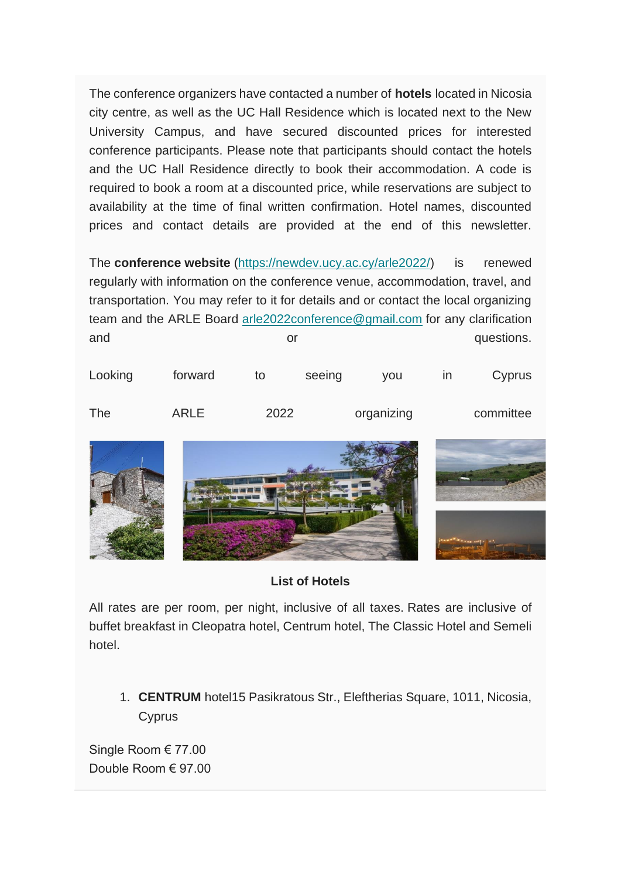The conference organizers have contacted a number of **hotels** located in Nicosia city centre, as well as the UC Hall Residence which is located next to the New University Campus, and have secured discounted prices for interested conference participants. Please note that participants should contact the hotels and the UC Hall Residence directly to book their accommodation. A code is required to book a room at a discounted price, while reservations are subject to availability at the time of final written confirmation. Hotel names, discounted prices and contact details are provided at the end of this newsletter.

The **conference website** [\(https://newdev.ucy.ac.cy/arle2022/\)](https://arle.us4.list-manage.com/track/click?u=e60ca9461c1d84627d19a6631&id=dda58bdba1&e=8b2cb9c57f) is renewed regularly with information on the conference venue, accommodation, travel, and transportation. You may refer to it for details and or contact the local organizing team and the ARLE Board [arle2022conference@gmail.com](mailto:arle2022conference@gmail.com) for any clarification and and or or contract the contract of the contract of the contract of the contract of the contract of the contract of the contract of the contract of the contract of the contract of the contract of the contract of the con

| Looking | forward     | to   | seeing | <b>VOU</b> | ın | Cyprus    |
|---------|-------------|------|--------|------------|----|-----------|
| The     | <b>ARLE</b> | 2022 |        | organizing |    | committee |



#### **List of Hotels**

All rates are per room, per night, inclusive of all taxes. Rates are inclusive of buffet breakfast in Cleopatra hotel, Centrum hotel, The Classic Hotel and Semeli hotel.

1. **CENTRUM** hotel15 Pasikratous Str., Eleftherias Square, 1011, Nicosia, **Cyprus** 

Single Room € 77.00 Double Room € 97.00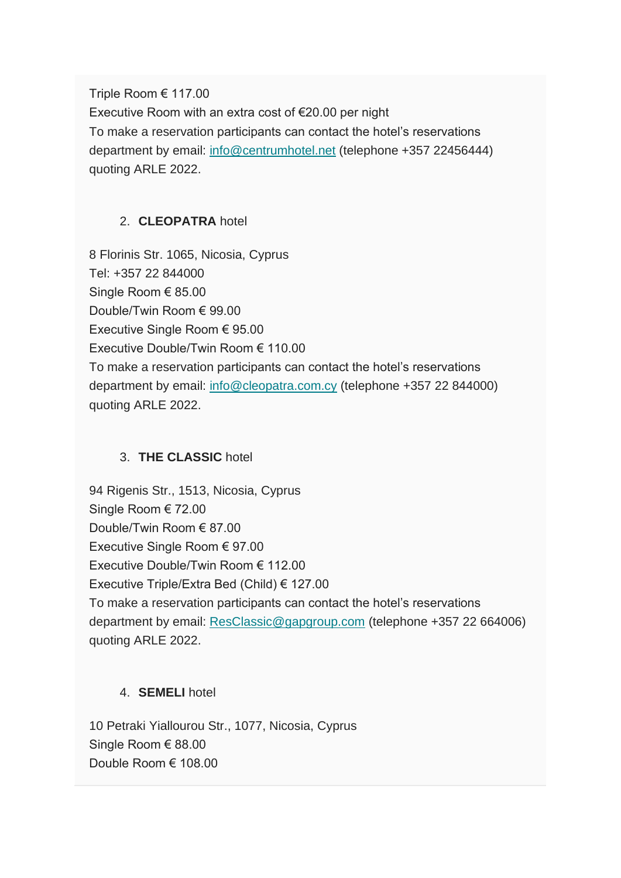Triple Room € 117.00 Executive Room with an extra cost of €20.00 per night To make a reservation participants can contact the hotel's reservations department by email: [info@centrumhotel.net](mailto:info@centrumhotel.net) (telephone +357 22456444) quoting ARLE 2022.

### 2. **CLEOPATRA** hotel

8 Florinis Str. 1065, Nicosia, Cyprus Tel: +357 22 844000 Single Room € 85.00 Double/Twin Room € 99.00 Executive Single Room € 95.00 Executive Double/Twin Room € 110.00 To make a reservation participants can contact the hotel's reservations department by email: [info@cleopatra.com.cy](mailto:info@cleopatra.com.cy) (telephone +357 22 844000) quoting ARLE 2022.

# 3. **THE CLASSIC** hotel

94 Rigenis Str., 1513, Nicosia, Cyprus Single Room € 72.00 Double/Twin Room € 87.00 Executive Single Room € 97.00 Executive Double/Twin Room € 112.00 Executive Triple/Extra Bed (Child) € 127.00 To make a reservation participants can contact the hotel's reservations department by email: [ResClassic@gapgroup.com](mailto:ResClassic@gapgroup.com) (telephone +357 22 664006) quoting ARLE 2022.

# 4. **SEMELI** hotel

10 Petraki Yiallourou Str., 1077, Nicosia, Cyprus Single Room € 88.00 Double Room € 108.00